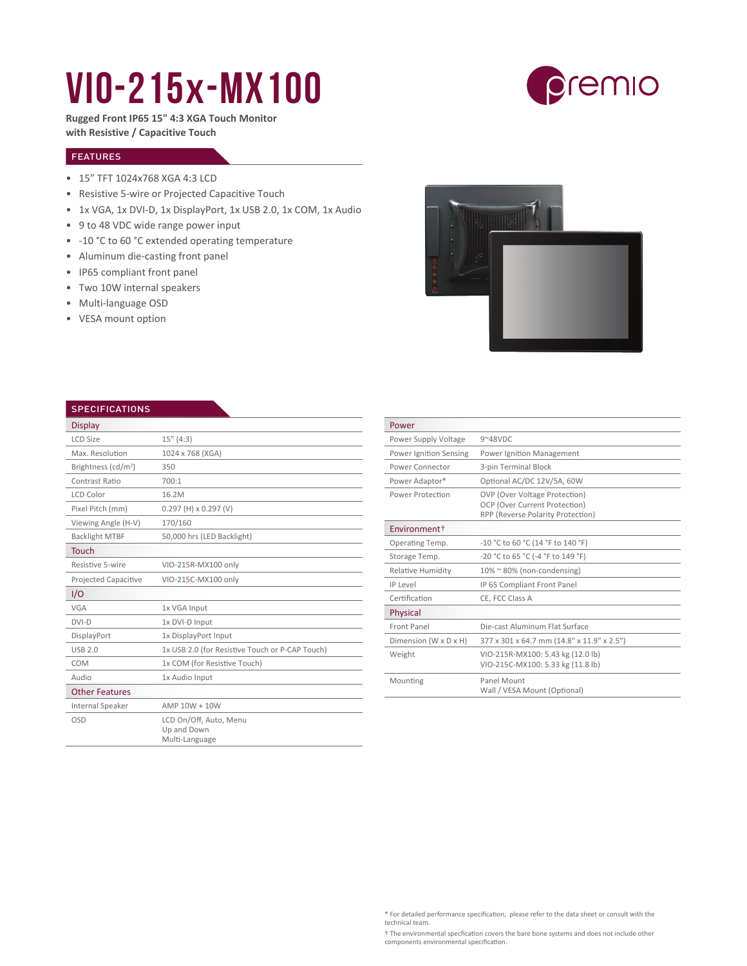## VIO-215x-MX100



**Rugged Front IP65 15" 4:3 XGA Touch Monitor with Resistive / Capacitive Touch**

## FEATURES

- 15" TFT 1024x768 XGA 4:3 LCD
- Resistive 5-wire or Projected Capacitive Touch
- 1x VGA, 1x DVI-D, 1x DisplayPort, 1x USB 2.0, 1x COM, 1x Audio
- 9 to 48 VDC wide range power input
- -10 °C to 60 °C extended operating temperature
- Aluminum die-casting front panel
- IP65 compliant front panel
- Two 10W internal speakers
- Multi-language OSD
- VESA mount option



| <b>SPECIFICATIONS</b>           |                                                         |
|---------------------------------|---------------------------------------------------------|
| <b>Display</b>                  |                                                         |
| <b>LCD Size</b>                 | 15''(4:3)                                               |
| Max. Resolution                 | 1024 x 768 (XGA)                                        |
| Brightness (cd/m <sup>2</sup> ) | 350                                                     |
| Contrast Ratio                  | 700:1                                                   |
| <b>LCD Color</b>                | 16.2M                                                   |
| Pixel Pitch (mm)                | $0.297$ (H) x $0.297$ (V)                               |
| Viewing Angle (H-V)             | 170/160                                                 |
| <b>Backlight MTBF</b>           | 50,000 hrs (LED Backlight)                              |
| <b>Touch</b>                    |                                                         |
| Resistive 5-wire                | VIO-215R-MX100 only                                     |
| Projected Capacitive            | VIO-215C-MX100 only                                     |
| I/O                             |                                                         |
| VGA                             | 1x VGA Input                                            |
| $DVI-D$                         | 1x DVI-D Input                                          |
| DisplayPort                     | 1x DisplayPort Input                                    |
| <b>USB 2.0</b>                  | 1x USB 2.0 (for Resistive Touch or P-CAP Touch)         |
| COM                             | 1x COM (for Resistive Touch)                            |
| Audio                           | 1x Audio Input                                          |
| <b>Other Features</b>           |                                                         |
| Internal Speaker                | $AMP 10W + 10W$                                         |
| OSD                             | LCD On/Off, Auto, Menu<br>Up and Down<br>Multi-Language |

| Power                    |                                                                                                     |  |
|--------------------------|-----------------------------------------------------------------------------------------------------|--|
| Power Supply Voltage     | $9^{\sim}48$ VDC                                                                                    |  |
| Power Ignition Sensing   | Power Ignition Management                                                                           |  |
| Power Connector          | 3-pin Terminal Block                                                                                |  |
| Power Adaptor*           | Optional AC/DC 12V/5A, 60W                                                                          |  |
| Power Protection         | OVP (Over Voltage Protection)<br>OCP (Over Current Protection)<br>RPP (Reverse Polarity Protection) |  |
| Environment <sup>+</sup> |                                                                                                     |  |
| Operating Temp.          | -10 °C to 60 °C (14 °F to 140 °F)                                                                   |  |
| Storage Temp.            | -20 °C to 65 °C (-4 °F to 149 °F)                                                                   |  |
| <b>Relative Humidity</b> | 10% ~ 80% (non-condensing)                                                                          |  |
| IP Level                 | IP 65 Compliant Front Panel                                                                         |  |
| Certification            | CE, FCC Class A                                                                                     |  |
| Physical                 |                                                                                                     |  |
| Front Panel              | Die-cast Aluminum Flat Surface                                                                      |  |
| Dimension (W x D x H)    | 377 x 301 x 64.7 mm (14.8" x 11.9" x 2.5")                                                          |  |
| Weight                   | VIO-215R-MX100: 5.43 kg (12.0 lb)<br>VIO-215C-MX100: 5.33 kg (11.8 lb)                              |  |
| Mounting                 | Panel Mount<br>Wall / VESA Mount (Optional)                                                         |  |

\* For detailed performance specification, please refer to the data sheet or consult with the technical team.

† The environmental specfication covers the bare bone systems and does not include other components environmental specification.